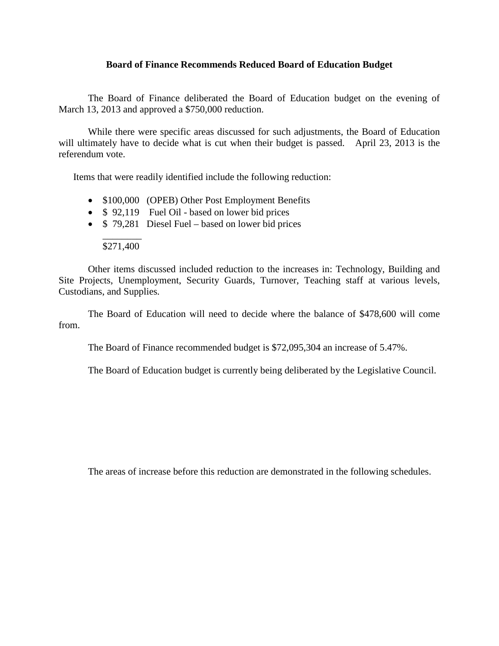### **Board of Finance Recommends Reduced Board of Education Budget**

The Board of Finance deliberated the Board of Education budget on the evening of March 13, 2013 and approved a \$750,000 reduction.

While there were specific areas discussed for such adjustments, the Board of Education will ultimately have to decide what is cut when their budget is passed. April 23, 2013 is the referendum vote.

Items that were readily identified include the following reduction:

- \$100,000 (OPEB) Other Post Employment Benefits
- \$ 92,119 Fuel Oil based on lower bid prices
- \$ 79,281 Diesel Fuel based on lower bid prices

#### \_\_\_\_\_\_\_\_ \$271,400

Other items discussed included reduction to the increases in: Technology, Building and Site Projects, Unemployment, Security Guards, Turnover, Teaching staff at various levels, Custodians, and Supplies.

The Board of Education will need to decide where the balance of \$478,600 will come from.

The Board of Finance recommended budget is \$72,095,304 an increase of 5.47%.

The Board of Education budget is currently being deliberated by the Legislative Council.

The areas of increase before this reduction are demonstrated in the following schedules.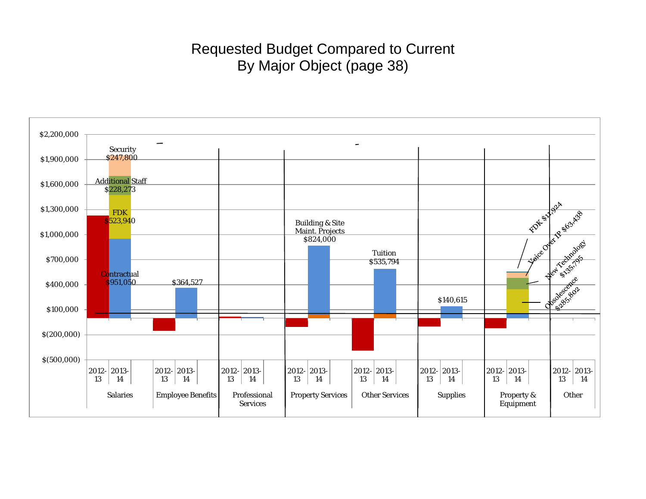# Requested Budget Compared to Current By Major Object (page 38)

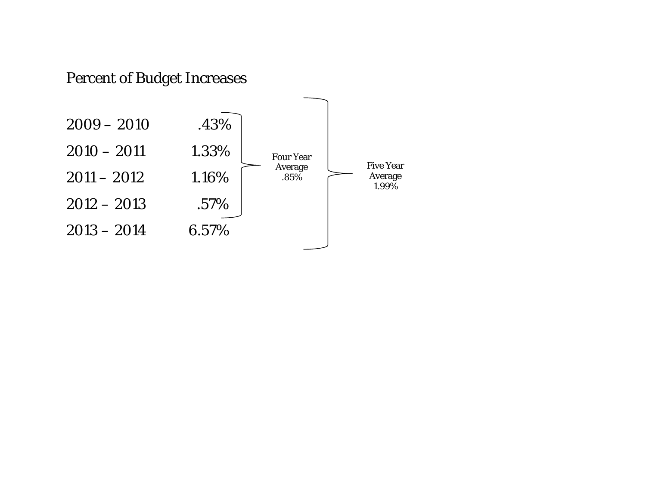# Percent of Budget Increases